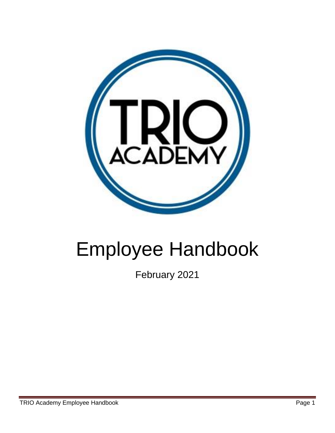

# Employee Handbook

February 2021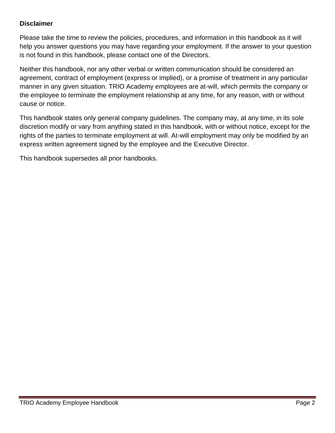# **Disclaimer**

Please take the time to review the policies, procedures, and information in this handbook as it will help you answer questions you may have regarding your employment. If the answer to your question is not found in this handbook, please contact one of the Directors.

Neither this handbook, nor any other verbal or written communication should be considered an agreement, contract of employment (express or implied), or a promise of treatment in any particular manner in any given situation. TRIO Academy employees are at-will, which permits the company or the employee to terminate the employment relationship at any time, for any reason, with or without cause or notice.

This handbook states only general company guidelines. The company may, at any time, in its sole discretion modify or vary from anything stated in this handbook, with or without notice, except for the rights of the parties to terminate employment at will. At-will employment may only be modified by an express written agreement signed by the employee and the Executive Director.

This handbook supersedes all prior handbooks.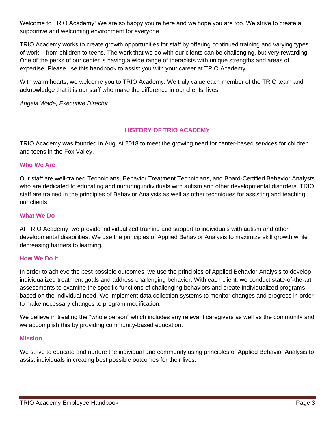Welcome to TRIO Academy! We are so happy you're here and we hope you are too. We strive to create a supportive and welcoming environment for everyone.

TRIO Academy works to create growth opportunities for staff by offering continued training and varying types of work – from children to teens. The work that we do with our clients can be challenging, but very rewarding. One of the perks of our center is having a wide range of therapists with unique strengths and areas of expertise. Please use this handbook to assist you with your career at TRIO Academy.

With warm hearts, we welcome you to TRIO Academy. We truly value each member of the TRIO team and acknowledge that it is our staff who make the difference in our clients' lives!

*Angela Wade, Executive Director*

## **HISTORY OF TRIO ACADEMY**

TRIO Academy was founded in August 2018 to meet the growing need for center-based services for children and teens in the Fox Valley.

#### **Who We Are**

Our staff are well-trained Technicians, Behavior Treatment Technicians, and Board-Certified Behavior Analysts who are dedicated to educating and nurturing individuals with autism and other developmental disorders. TRIO staff are trained in the principles of Behavior Analysis as well as other techniques for assisting and teaching our clients.

#### **What We Do**

At TRIO Academy, we provide individualized training and support to individuals with autism and other developmental disabilities. We use the principles of Applied Behavior Analysis to maximize skill growth while decreasing barriers to learning.

#### **How We Do It**

In order to achieve the best possible outcomes, we use the principles of Applied Behavior Analysis to develop individualized treatment goals and address challenging behavior. With each client, we conduct state-of-the-art assessments to examine the specific functions of challenging behaviors and create individualized programs based on the individual need. We implement data collection systems to monitor changes and progress in order to make necessary changes to program modification.

We believe in treating the "whole person" which includes any relevant caregivers as well as the community and we accomplish this by providing community-based education.

#### **Mission**

We strive to educate and nurture the individual and community using principles of Applied Behavior Analysis to assist individuals in creating best possible outcomes for their lives.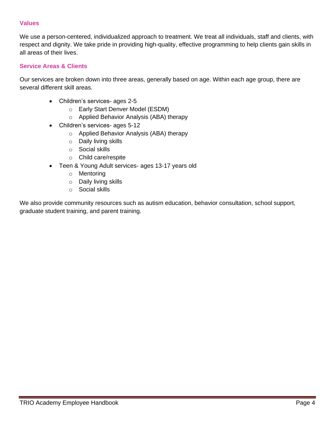#### **Values**

We use a person-centered, individualized approach to treatment. We treat all individuals, staff and clients, with respect and dignity. We take pride in providing high-quality, effective programming to help clients gain skills in all areas of their lives.

#### **Service Areas & Clients**

Our services are broken down into three areas, generally based on age. Within each age group, there are several different skill areas.

- Children's services- ages 2-5
	- o Early Start Denver Model (ESDM)
	- o Applied Behavior Analysis (ABA) therapy
- Children's services- ages 5-12
	- o Applied Behavior Analysis (ABA) therapy
	- o Daily living skills
	- o Social skills
	- o Child care/respite
- Teen & Young Adult services- ages 13-17 years old
	- o Mentoring
	- o Daily living skills
	- o Social skills

We also provide community resources such as autism education, behavior consultation, school support, graduate student training, and parent training.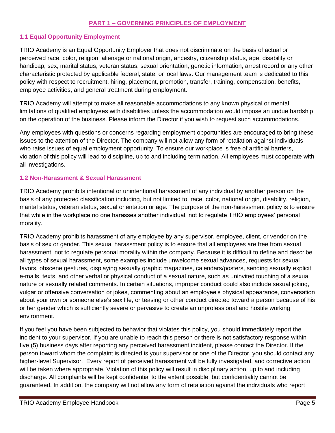#### **PART 1 – GOVERNING PRINCIPLES OF EMPLOYMENT**

#### **1.1 Equal Opportunity Employment**

TRIO Academy is an Equal Opportunity Employer that does not discriminate on the basis of actual or perceived race, color, religion, alienage or national origin, ancestry, citizenship status, age, disability or handicap, sex, marital status, veteran status, sexual orientation, genetic information, arrest record or any other characteristic protected by applicable federal, state, or local laws. Our management team is dedicated to this policy with respect to recruitment, hiring, placement, promotion, transfer, training, compensation, benefits, employee activities, and general treatment during employment.

TRIO Academy will attempt to make all reasonable accommodations to any known physical or mental limitations of qualified employees with disabilities unless the accommodation would impose an undue hardship on the operation of the business. Please inform the Director if you wish to request such accommodations.

Any employees with questions or concerns regarding employment opportunities are encouraged to bring these issues to the attention of the Director. The company will not allow any form of retaliation against individuals who raise issues of equal employment opportunity. To ensure our workplace is free of artificial barriers, violation of this policy will lead to discipline, up to and including termination. All employees must cooperate with all investigations.

#### **1.2 Non-Harassment & Sexual Harassment**

TRIO Academy prohibits intentional or unintentional harassment of any individual by another person on the basis of any protected classification including, but not limited to, race, color, national origin, disability, religion, marital status, veteran status, sexual orientation or age. The purpose of the non-harassment policy is to ensure that while in the workplace no one harasses another individual, not to regulate TRIO employees' personal morality.

TRIO Academy prohibits harassment of any employee by any supervisor, employee, client, or vendor on the basis of sex or gender. This sexual harassment policy is to ensure that all employees are free from sexual harassment, not to regulate personal morality within the company. Because it is difficult to define and describe all types of sexual harassment, some examples include unwelcome sexual advances, requests for sexual favors, obscene gestures, displaying sexually graphic magazines, calendars/posters, sending sexually explicit e-mails, texts, and other verbal or physical conduct of a sexual nature, such as uninvited touching of a sexual nature or sexually related comments. In certain situations, improper conduct could also include sexual joking, vulgar or offensive conversation or jokes, commenting about an employee's physical appearance, conversation about your own or someone else's sex life, or teasing or other conduct directed toward a person because of his or her gender which is sufficiently severe or pervasive to create an unprofessional and hostile working environment.

If you feel you have been subjected to behavior that violates this policy, you should immediately report the incident to your supervisor. If you are unable to reach this person or there is not satisfactory response within five (5) business days after reporting any perceived harassment incident, please contact the Director. If the person toward whom the complaint is directed is your supervisor or one of the Director, you should contact any higher-level Supervisor. Every report of perceived harassment will be fully investigated, and corrective action will be taken where appropriate. Violation of this policy will result in disciplinary action, up to and including discharge. All complaints will be kept confidential to the extent possible, but confidentiality cannot be guaranteed. In addition, the company will not allow any form of retaliation against the individuals who report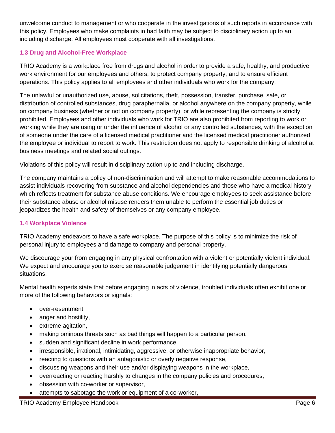unwelcome conduct to management or who cooperate in the investigations of such reports in accordance with this policy. Employees who make complaints in bad faith may be subject to disciplinary action up to an including discharge. All employees must cooperate with all investigations.

# **1.3 Drug and Alcohol-Free Workplace**

TRIO Academy is a workplace free from drugs and alcohol in order to provide a safe, healthy, and productive work environment for our employees and others, to protect company property, and to ensure efficient operations. This policy applies to all employees and other individuals who work for the company.

The unlawful or unauthorized use, abuse, solicitations, theft, possession, transfer, purchase, sale, or distribution of controlled substances, drug paraphernalia, or alcohol anywhere on the company property, while on company business (whether or not on company property), or while representing the company is strictly prohibited. Employees and other individuals who work for TRIO are also prohibited from reporting to work or working while they are using or under the influence of alcohol or any controlled substances, with the exception of someone under the care of a licensed medical practitioner and the licensed medical practitioner authorized the employee or individual to report to work. This restriction does not apply to responsible drinking of alcohol at business meetings and related social outings.

Violations of this policy will result in disciplinary action up to and including discharge.

The company maintains a policy of non-discrimination and will attempt to make reasonable accommodations to assist individuals recovering from substance and alcohol dependencies and those who have a medical history which reflects treatment for substance abuse conditions. We encourage employees to seek assistance before their substance abuse or alcohol misuse renders them unable to perform the essential job duties or jeopardizes the health and safety of themselves or any company employee.

## **1.4 Workplace Violence**

TRIO Academy endeavors to have a safe workplace. The purpose of this policy is to minimize the risk of personal injury to employees and damage to company and personal property.

We discourage your from engaging in any physical confrontation with a violent or potentially violent individual. We expect and encourage you to exercise reasonable judgement in identifying potentially dangerous situations.

Mental health experts state that before engaging in acts of violence, troubled individuals often exhibit one or more of the following behaviors or signals:

- over-resentment,
- anger and hostility,
- extreme agitation,
- making ominous threats such as bad things will happen to a particular person,
- sudden and significant decline in work performance,
- irresponsible, irrational, intimidating, aggressive, or otherwise inappropriate behavior,
- reacting to questions with an antagonistic or overly negative response,
- discussing weapons and their use and/or displaying weapons in the workplace,
- overreacting or reacting harshly to changes in the company policies and procedures,
- obsession with co-worker or supervisor,
- attempts to sabotage the work or equipment of a co-worker,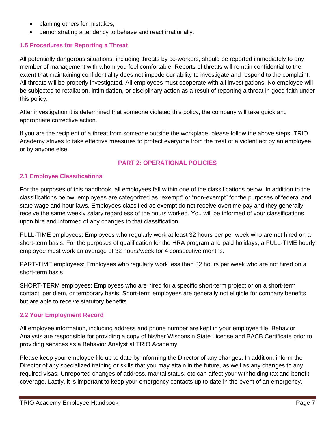- blaming others for mistakes,
- demonstrating a tendency to behave and react irrationally.

# **1.5 Procedures for Reporting a Threat**

All potentially dangerous situations, including threats by co-workers, should be reported immediately to any member of management with whom you feel comfortable. Reports of threats will remain confidential to the extent that maintaining confidentiality does not impede our ability to investigate and respond to the complaint. All threats will be properly investigated. All employees must cooperate with all investigations. No employee will be subjected to retaliation, intimidation, or disciplinary action as a result of reporting a threat in good faith under this policy.

After investigation it is determined that someone violated this policy, the company will take quick and appropriate corrective action.

If you are the recipient of a threat from someone outside the workplace, please follow the above steps. TRIO Academy strives to take effective measures to protect everyone from the treat of a violent act by an employee or by anyone else.

# **PART 2: OPERATIONAL POLICIES**

## **2.1 Employee Classifications**

For the purposes of this handbook, all employees fall within one of the classifications below. In addition to the classifications below, employees are categorized as "exempt" or "non-exempt" for the purposes of federal and state wage and hour laws. Employees classified as exempt do not receive overtime pay and they generally receive the same weekly salary regardless of the hours worked. You will be informed of your classifications upon hire and informed of any changes to that classification.

FULL-TIME employees: Employees who regularly work at least 32 hours per per week who are not hired on a short-term basis. For the purposes of qualification for the HRA program and paid holidays, a FULL-TIME hourly employee must work an average of 32 hours/week for 4 consecutive months.

PART-TIME employees: Employees who regularly work less than 32 hours per week who are not hired on a short-term basis

SHORT-TERM employees: Employees who are hired for a specific short-term project or on a short-term contact, per diem, or temporary basis. Short-term employees are generally not eligible for company benefits, but are able to receive statutory benefits

## **2.2 Your Employment Record**

All employee information, including address and phone number are kept in your employee file. Behavior Analysts are responsible for providing a copy of his/her Wisconsin State License and BACB Certificate prior to providing services as a Behavior Analyst at TRIO Academy.

Please keep your employee file up to date by informing the Director of any changes. In addition, inform the Director of any specialized training or skills that you may attain in the future, as well as any changes to any required visas. Unreported changes of address, marital status, etc can affect your withholding tax and benefit coverage. Lastly, it is important to keep your emergency contacts up to date in the event of an emergency.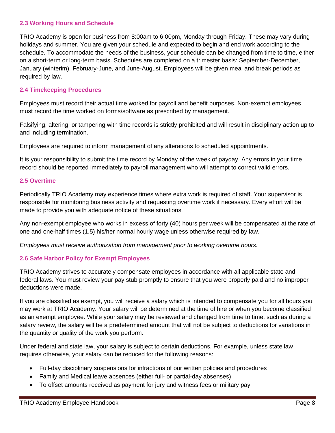#### **2.3 Working Hours and Schedule**

TRIO Academy is open for business from 8:00am to 6:00pm, Monday through Friday. These may vary during holidays and summer. You are given your schedule and expected to begin and end work according to the schedule. To accommodate the needs of the business, your schedule can be changed from time to time, either on a short-term or long-term basis. Schedules are completed on a trimester basis: September-December, January (winterim), February-June, and June-August. Employees will be given meal and break periods as required by law.

#### **2.4 Timekeeping Procedures**

Employees must record their actual time worked for payroll and benefit purposes. Non-exempt employees must record the time worked on forms/software as prescribed by management.

Falsifying, altering, or tampering with time records is strictly prohibited and will result in disciplinary action up to and including termination.

Employees are required to inform management of any alterations to scheduled appointments.

It is your responsibility to submit the time record by Monday of the week of payday. Any errors in your time record should be reported immediately to payroll management who will attempt to correct valid errors.

#### **2.5 Overtime**

Periodically TRIO Academy may experience times where extra work is required of staff. Your supervisor is responsible for monitoring business activity and requesting overtime work if necessary. Every effort will be made to provide you with adequate notice of these situations.

Any non-exempt employee who works in excess of forty (40) hours per week will be compensated at the rate of one and one-half times (1.5) his/her normal hourly wage unless otherwise required by law.

*Employees must receive authorization from management prior to working overtime hours.*

## **2.6 Safe Harbor Policy for Exempt Employees**

TRIO Academy strives to accurately compensate employees in accordance with all applicable state and federal laws. You must review your pay stub promptly to ensure that you were properly paid and no improper deductions were made.

If you are classified as exempt, you will receive a salary which is intended to compensate you for all hours you may work at TRIO Academy. Your salary will be determined at the time of hire or when you become classified as an exempt employee. While your salary may be reviewed and changed from time to time, such as during a salary review, the salary will be a predetermined amount that will not be subject to deductions for variations in the quantity or quality of the work you perform.

Under federal and state law, your salary is subject to certain deductions. For example, unless state law requires otherwise, your salary can be reduced for the following reasons:

- Full-day disciplinary suspensions for infractions of our written policies and procedures
- Family and Medical leave absences (either full- or partial-day absenses)
- To offset amounts received as payment for jury and witness fees or military pay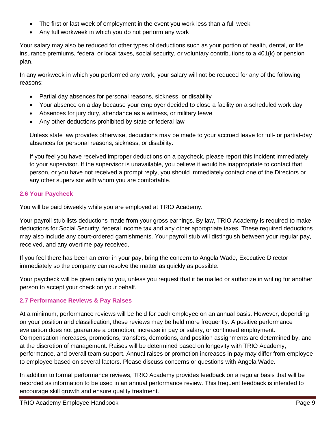- The first or last week of employment in the event you work less than a full week
- Any full workweek in which you do not perform any work

Your salary may also be reduced for other types of deductions such as your portion of health, dental, or life insurance premiums, federal or local taxes, social security, or voluntary contributions to a 401(k) or pension plan.

In any workweek in which you performed any work, your salary will not be reduced for any of the following reasons:

- Partial day absences for personal reasons, sickness, or disability
- Your absence on a day because your employer decided to close a facility on a scheduled work day
- Absences for jury duty, attendance as a witness, or military leave
- Any other deductions prohibited by state or federal law

Unless state law provides otherwise, deductions may be made to your accrued leave for full- or partial-day absences for personal reasons, sickness, or disability.

If you feel you have received improper deductions on a paycheck, please report this incident immediately to your supervisor. If the supervisor is unavailable, you believe it would be inappropriate to contact that person, or you have not received a prompt reply, you should immediately contact one of the Directors or any other supervisor with whom you are comfortable.

# **2.6 Your Paycheck**

You will be paid biweekly while you are employed at TRIO Academy.

Your payroll stub lists deductions made from your gross earnings. By law, TRIO Academy is required to make deductions for Social Security, federal income tax and any other appropriate taxes. These required deductions may also include any court-ordered garnishments. Your payroll stub will distinguish between your regular pay, received, and any overtime pay received.

If you feel there has been an error in your pay, bring the concern to Angela Wade, Executive Director immediately so the company can resolve the matter as quickly as possible.

Your paycheck will be given only to you, unless you request that it be mailed or authorize in writing for another person to accept your check on your behalf.

## **2.7 Performance Reviews & Pay Raises**

At a minimum, performance reviews will be held for each employee on an annual basis. However, depending on your position and classification, these reviews may be held more frequently. A positive performance evaluation does not guarantee a promotion, increase in pay or salary, or continued employment. Compensation increases, promotions, transfers, demotions, and position assignments are determined by, and at the discretion of management. Raises will be determined based on longevity with TRIO Academy, performance, and overall team support. Annual raises or promotion increases in pay may differ from employee to employee based on several factors. Please discuss concerns or questions with Angela Wade.

In addition to formal performance reviews, TRIO Academy provides feedback on a regular basis that will be recorded as information to be used in an annual performance review. This frequent feedback is intended to encourage skill growth and ensure quality treatment.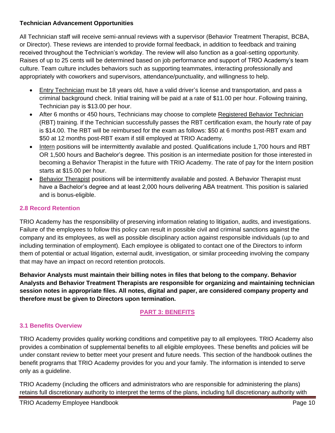#### **Technician Advancement Opportunities**

All Technician staff will receive semi-annual reviews with a supervisor (Behavior Treatment Therapist, BCBA, or Director). These reviews are intended to provide formal feedback, in addition to feedback and training received throughout the Technician's workday. The review will also function as a goal-setting opportunity. Raises of up to 25 cents will be determined based on job performance and support of TRIO Academy's team culture. Team culture includes behaviors such as supporting teammates, interacting professionally and appropriately with coworkers and supervisors, attendance/punctuality, and willingness to help.

- Entry Technician must be 18 years old, have a valid driver's license and transportation, and pass a criminal background check. Initial training will be paid at a rate of \$11.00 per hour. Following training, Technician pay is \$13.00 per hour.
- After 6 months or 450 hours, Technicians may choose to complete Registered Behavior Technician (RBT) training. If the Technician successfully passes the RBT certification exam, the hourly rate of pay is \$14.00. The RBT will be reimbursed for the exam as follows: \$50 at 6 months post-RBT exam and \$50 at 12 months post-RBT exam if still employed at TRIO Academy.
- Intern positions will be intermittently available and posted. Qualifications include 1,700 hours and RBT OR 1,500 hours and Bachelor's degree. This position is an intermediate position for those interested in becoming a Behavior Therapist in the future with TRIO Academy. The rate of pay for the Intern position starts at \$15.00 per hour.
- Behavior Therapist positions will be intermittently available and posted. A Behavior Therapist must have a Bachelor's degree and at least 2,000 hours delivering ABA treatment. This position is salaried and is bonus-eligible.

## **2.8 Record Retention**

TRIO Academy has the responsibility of preserving information relating to litigation, audits, and investigations. Failure of the employees to follow this policy can result in possible civil and criminal sanctions against the company and its employees, as well as possible disciplinary action against responsible individuals (up to and including termination of employment). Each employee is obligated to contact one of the Directors to inform them of potential or actual litigation, external audit, investigation, or similar proceeding involving the company that may have an impact on record retention protocols.

**Behavior Analysts must maintain their billing notes in files that belong to the company. Behavior Analysts and Behavior Treatment Therapists are responsible for organizing and maintaining technician session notes in appropriate files. All notes, digital and paper, are considered company property and therefore must be given to Directors upon termination.**

# **PART 3: BENEFITS**

## **3.1 Benefits Overview**

TRIO Academy provides quality working conditions and competitive pay to all employees. TRIO Academy also provides a combination of supplemental benefits to all eligible employees. These benefits and policies will be under constant review to better meet your present and future needs. This section of the handbook outlines the benefit programs that TRIO Academy provides for you and your family. The information is intended to serve only as a guideline.

TRIO Academy (including the officers and administrators who are responsible for administering the plans) retains full discretionary authority to interpret the terms of the plans, including full discretionary authority with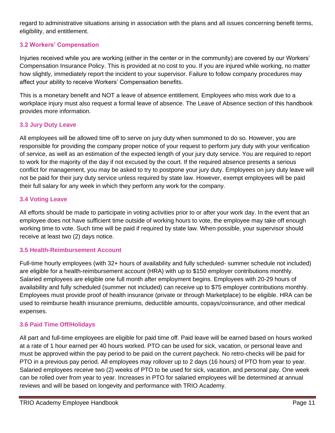regard to administrative situations arising in association with the plans and all issues concerning benefit terms, eligibility, and entitlement.

# **3.2 Workers' Compensation**

Injuries received while you are working (either in the center or in the community) are covered by our Workers' Compensation Insurance Policy. This is provided at no cost to you. If you are injured while working, no matter how slightly, immediately report the incident to your supervisor. Failure to follow company procedures may affect your ability to receive Workers' Compensation benefits.

This is a monetary benefit and NOT a leave of absence entitlement. Employees who miss work due to a workplace injury must also request a formal leave of absence. The Leave of Absence section of this handbook provides more information.

# **3.3 Jury Duty Leave**

All employees will be allowed time off to serve on jury duty when summoned to do so. However, you are responsible for providing the company proper notice of your request to perform jury duty with your verification of service, as well as an estimation of the expected length of your jury duty service. You are required to report to work for the majority of the day if not excused by the court. If the required absence presents a serious conflict for management, you may be asked to try to postpone your jury duty. Employees on jury duty leave will not be paid for their jury duty service unless required by state law. However, exempt employees will be paid their full salary for any week in which they perform any work for the company.

## **3.4 Voting Leave**

All efforts should be made to participate in voting activities prior to or after your work day. In the event that an employee does not have sufficient time outside of working hours to vote, the employee may take off enough working time to vote. Such time will be paid if required by state law. When possible, your supervisor should receive at least two (2) days notice.

## **3.5 Health-Reimbursement Account**

Full-time hourly employees (with 32+ hours of availability and fully scheduled- summer schedule not included) are eligible for a health-reimbursement account (HRA) with up to \$150 employer contributions monthly. Salaried employees are eligible one full month after employment begins. Employees with 20-29 hours of availability and fully scheduled (summer not included) can receive up to \$75 employer contributions monthly. Employees must provide proof of health insurance (private or through Marketplace) to be eligible. HRA can be used to reimburse health insurance premiums, deductible amounts, copays/coinsurance, and other medical expenses.

## **3.6 Paid Time Off/Holidays**

All part and full-time employees are eligible for paid time off. Paid leave will be earned based on hours worked at a rate of 1 hour earned per 40 hours worked. PTO can be used for sick, vacation, or personal leave and must be approved within the pay period to be paid on the current paycheck. No retro-checks will be paid for PTO in a previous pay period. All employees may rollover up to 2 days (16 hours) of PTO from year to year. Salaried employees receive two (2) weeks of PTO to be used for sick, vacation, and personal pay. One week can be rolled over from year to year. Increases in PTO for salaried employees will be determined at annual reviews and will be based on longevity and performance with TRIO Academy.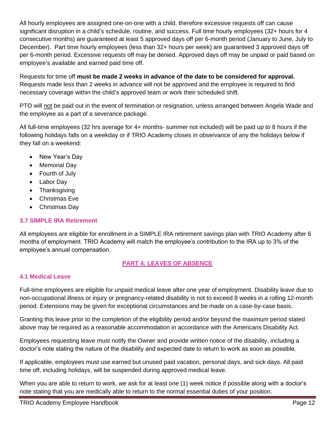All hourly employees are assigned one-on-one with a child, therefore excessive requests off can cause significant disruption in a child's schedule, routine, and success. Full time hourly employees (32+ hours for 4 consecutive months) are guaranteed at least 5 approved days off per 6-month period (January to June, July to December). Part time hourly employees (less than 32+ hours per week) are guaranteed 3 approved days off per 6-month period. Excessive requests off may be denied. Approved days off may be unpaid or paid based on employee's available and earned paid time off.

Requests for time off **must be made 2 weeks in advance of the date to be considered for approval.** Requests made less than 2 weeks in advance will not be approved and the employee is required to find necessary coverage within the child's approved team or work their scheduled shift.

PTO will not be paid out in the event of termination or resignation, unless arranged between Angela Wade and the employee as a part of a severance package.

All full-time employees (32 hrs average for 4+ months- summer not included) will be paid up to 8 hours if the following holidays falls on a weekday or if TRIO Academy closes in observance of any the holidays below if they fall on a weekend:

- New Year's Day
- Memorial Day
- Fourth of July
- Labor Day
- **Thanksgiving**
- Christmas Eve
- Christmas Day

## **3.7 SIMPLE IRA Retirement**

All employees are eligible for enrollment in a SIMPLE IRA retirement savings plan with TRIO Academy after 6 months of employment. TRIO Academy will match the employee's contribution to the IRA up to 3% of the employee's annual compensation.

# **PART 4: LEAVES OF ABSENCE**

#### **4.1 Medical Leave**

Full-time employees are eligible for unpaid medical leave after one year of employment. Disability leave due to non-occupational illness or injury or pregnancy-related disability is not to exceed 8 weeks in a rolling 12-month period. Extensions may be given for exceptional circumstances and be made on a case-by-case basis.

Granting this leave prior to the completion of the eligibility period and/or beyond the maximum period stated above may be required as a reasonable accommodation in accordance with the Americans Disability Act.

Employees requesting leave must notify the Owner and provide written notice of the disability, including a doctor's note stating the nature of the disability and expected date to return to work as soon as possible.

If applicable, employees must use earned but unused paid vacation, personal days, and sick days. All paid time off, including holidays, will be suspended during approved medical leave.

When you are able to return to work, we ask for at least one (1) week notice if possible along with a doctor's note stating that you are medically able to return to the normal essential duties of your position.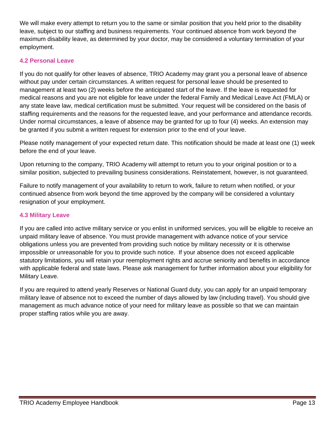We will make every attempt to return you to the same or similar position that you held prior to the disability leave, subject to our staffing and business requirements. Your continued absence from work beyond the maximum disability leave, as determined by your doctor, may be considered a voluntary termination of your employment.

## **4.2 Personal Leave**

If you do not qualify for other leaves of absence, TRIO Academy may grant you a personal leave of absence without pay under certain circumstances. A written request for personal leave should be presented to management at least two (2) weeks before the anticipated start of the leave. If the leave is requested for medical reasons and you are not eligible for leave under the federal Family and Medical Leave Act (FMLA) or any state leave law, medical certification must be submitted. Your request will be considered on the basis of staffing requirements and the reasons for the requested leave, and your performance and attendance records. Under normal circumstances, a leave of absence may be granted for up to four (4) weeks. An extension may be granted if you submit a written request for extension prior to the end of your leave.

Please notify management of your expected return date. This notification should be made at least one (1) week before the end of your leave.

Upon returning to the company, TRIO Academy will attempt to return you to your original position or to a similar position, subjected to prevailing business considerations. Reinstatement, however, is not guaranteed.

Failure to notify management of your availability to return to work, failure to return when notified, or your continued absence from work beyond the time approved by the company will be considered a voluntary resignation of your employment.

## **4.3 Military Leave**

If you are called into active military service or you enlist in uniformed services, you will be eligible to receive an unpaid military leave of absence. You must provide management with advance notice of your service obligations unless you are prevented from providing such notice by military necessity or it is otherwise impossible or unreasonable for you to provide such notice. If your absence does not exceed applicable statutory limitations, you will retain your reemployment rights and accrue seniority and benefits in accordance with applicable federal and state laws. Please ask management for further information about your eligibility for Military Leave.

If you are required to attend yearly Reserves or National Guard duty, you can apply for an unpaid temporary military leave of absence not to exceed the number of days allowed by law (including travel). You should give management as much advance notice of your need for military leave as possible so that we can maintain proper staffing ratios while you are away.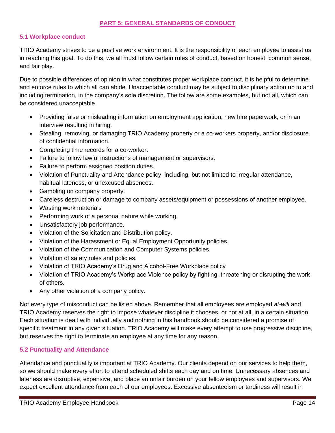#### **PART 5: GENERAL STANDARDS OF CONDUCT**

#### **5.1 Workplace conduct**

TRIO Academy strives to be a positive work environment. It is the responsibility of each employee to assist us in reaching this goal. To do this, we all must follow certain rules of conduct, based on honest, common sense, and fair play.

Due to possible differences of opinion in what constitutes proper workplace conduct, it is helpful to determine and enforce rules to which all can abide. Unacceptable conduct may be subject to disciplinary action up to and including termination, in the company's sole discretion. The follow are some examples, but not all, which can be considered unacceptable.

- Providing false or misleading information on employment application, new hire paperwork, or in an interview resulting in hiring.
- Stealing, removing, or damaging TRIO Academy property or a co-workers property, and/or disclosure of confidential information.
- Completing time records for a co-worker.
- Failure to follow lawful instructions of management or supervisors.
- Failure to perform assigned position duties.
- Violation of Punctuality and Attendance policy, including, but not limited to irregular attendance, habitual lateness, or unexcused absences.
- Gambling on company property.
- Careless destruction or damage to company assets/equipment or possessions of another employee.
- Wasting work materials
- Performing work of a personal nature while working.
- Unsatisfactory job performance.
- Violation of the Solicitation and Distribution policy.
- Violation of the Harassment or Equal Employment Opportunity policies.
- Violation of the Communication and Computer Systems policies.
- Violation of safety rules and policies.
- Violation of TRIO Academy's Drug and Alcohol-Free Workplace policy
- Violation of TRIO Academy's Workplace Violence policy by fighting, threatening or disrupting the work of others.
- Any other violation of a company policy.

Not every type of misconduct can be listed above. Remember that all employees are employed *at-will* and TRIO Academy reserves the right to impose whatever discipline it chooses, or not at all, in a certain situation. Each situation is dealt with individually and nothing in this handbook should be considered a promise of specific treatment in any given situation. TRIO Academy will make every attempt to use progressive discipline, but reserves the right to terminate an employee at any time for any reason.

#### **5.2 Punctuality and Attendance**

Attendance and punctuality is important at TRIO Academy. Our clients depend on our services to help them, so we should make every effort to attend scheduled shifts each day and on time. Unnecessary absences and lateness are disruptive, expensive, and place an unfair burden on your fellow employees and supervisors. We expect excellent attendance from each of our employees. Excessive absenteeism or tardiness will result in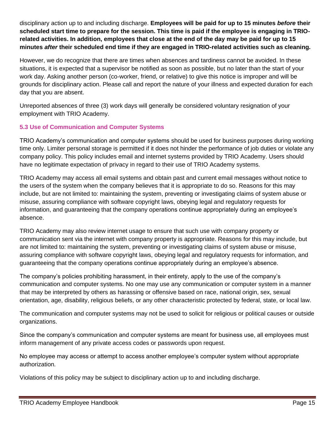disciplinary action up to and including discharge. **Employees will be paid for up to 15 minutes** *before* **their scheduled start time to prepare for the session. This time is paid if the employee is engaging in TRIOrelated activities. In addition, employees that close at the end of the day may be paid for up to 15 minutes** *after* **their scheduled end time if they are engaged in TRIO-related activities such as cleaning.**

However, we do recognize that there are times when absences and tardiness cannot be avoided. In these situations, it is expected that a supervisor be notified as soon as possible, but no later than the start of your work day. Asking another person (co-worker, friend, or relative) to give this notice is improper and will be grounds for disciplinary action. Please call and report the nature of your illness and expected duration for each day that you are absent.

Unreported absences of three (3) work days will generally be considered voluntary resignation of your employment with TRIO Academy.

# **5.3 Use of Communication and Computer Systems**

TRIO Academy's communication and computer systems should be used for business purposes during working time only. Limiter personal storage is permitted if it does not hinder the performance of job duties or violate any company policy. This policy includes email and internet systems provided by TRIO Academy. Users should have no legitimate expectation of privacy in regard to their use of TRIO Academy systems.

TRIO Academy may access all email systems and obtain past and current email messages without notice to the users of the system when the company believes that it is appropriate to do so. Reasons for this may include, but are not limited to: maintaining the system, preventing or investigating claims of system abuse or misuse, assuring compliance with software copyright laws, obeying legal and regulatory requests for information, and guaranteeing that the company operations continue appropriately during an employee's absence.

TRIO Academy may also review internet usage to ensure that such use with company property or communication sent via the internet with company property is appropriate. Reasons for this may include, but are not limited to: maintaining the system, preventing or investigating claims of system abuse or misuse, assuring compliance with software copyright laws, obeying legal and regulatory requests for information, and guaranteeing that the company operations continue appropriately during an employee's absence.

The company's policies prohibiting harassment, in their entirety, apply to the use of the company's communication and computer systems. No one may use any communication or computer system in a manner that may be interpreted by others as harassing or offensive based on race, national origin, sex, sexual orientation, age, disability, religious beliefs, or any other characteristic protected by federal, state, or local law.

The communication and computer systems may not be used to solicit for religious or political causes or outside organizations.

Since the company's communication and computer systems are meant for business use, all employees must inform management of any private access codes or passwords upon request.

No employee may access or attempt to access another employee's computer system without appropriate authorization.

Violations of this policy may be subject to disciplinary action up to and including discharge.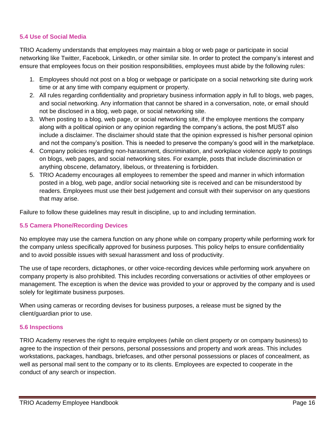#### **5.4 Use of Social Media**

TRIO Academy understands that employees may maintain a blog or web page or participate in social networking like Twitter, Facebook, LinkedIn, or other similar site. In order to protect the company's interest and ensure that employees focus on their position responsibilities, employees must abide by the following rules:

- 1. Employees should not post on a blog or webpage or participate on a social networking site during work time or at any time with company equipment or property.
- 2. All rules regarding confidentiality and proprietary business information apply in full to blogs, web pages, and social networking. Any information that cannot be shared in a conversation, note, or email should not be disclosed in a blog, web page, or social networking site.
- 3. When posting to a blog, web page, or social networking site, if the employee mentions the company along with a political opinion or any opinion regarding the company's actions, the post MUST also include a disclaimer. The disclaimer should state that the opinion expressed is his/her personal opinion and not the company's position. This is needed to preserve the company's good will in the marketplace.
- 4. Company policies regarding non-harassment, discrimination, and workplace violence apply to postings on blogs, web pages, and social networking sites. For example, posts that include discrimination or anything obscene, defamatory, libelous, or threatening is forbidden.
- 5. TRIO Academy encourages all employees to remember the speed and manner in which information posted in a blog, web page, and/or social networking site is received and can be misunderstood by readers. Employees must use their best judgement and consult with their supervisor on any questions that may arise.

Failure to follow these guidelines may result in discipline, up to and including termination.

## **5.5 Camera Phone/Recording Devices**

No employee may use the camera function on any phone while on company property while performing work for the company unless specifically approved for business purposes. This policy helps to ensure confidentiality and to avoid possible issues with sexual harassment and loss of productivity.

The use of tape recorders, dictaphones, or other voice-recording devices while performing work anywhere on company property is also prohibited. This includes recording conversations or activities of other employees or management. The exception is when the device was provided to your or approved by the company and is used solely for legitimate business purposes.

When using cameras or recording devises for business purposes, a release must be signed by the client/guardian prior to use.

#### **5.6 Inspections**

TRIO Academy reserves the right to require employees (while on client property or on company business) to agree to the inspection of their persons, personal possessions and property and work areas. This includes workstations, packages, handbags, briefcases, and other personal possessions or places of concealment, as well as personal mail sent to the company or to its clients. Employees are expected to cooperate in the conduct of any search or inspection.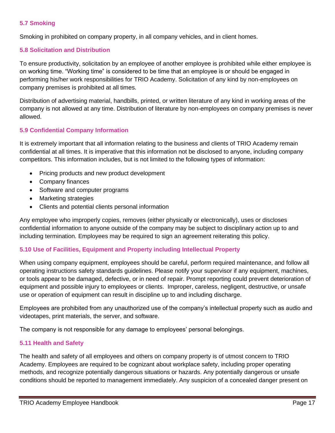#### **5.7 Smoking**

Smoking in prohibited on company property, in all company vehicles, and in client homes.

#### **5.8 Solicitation and Distribution**

To ensure productivity, solicitation by an employee of another employee is prohibited while either employee is on working time. "Working time" is considered to be time that an employee is or should be engaged in performing his/her work responsibilities for TRIO Academy. Solicitation of any kind by non-employees on company premises is prohibited at all times.

Distribution of advertising material, handbills, printed, or written literature of any kind in working areas of the company is not allowed at any time. Distribution of literature by non-employees on company premises is never allowed.

#### **5.9 Confidential Company Information**

It is extremely important that all information relating to the business and clients of TRIO Academy remain confidential at all times. It is imperative that this information not be disclosed to anyone, including company competitors. This information includes, but is not limited to the following types of information:

- Pricing products and new product development
- Company finances
- Software and computer programs
- Marketing strategies
- Clients and potential clients personal information

Any employee who improperly copies, removes (either physically or electronically), uses or discloses confidential information to anyone outside of the company may be subject to disciplinary action up to and including termination. Employees may be required to sign an agreement reiterating this policy.

#### **5.10 Use of Facilities, Equipment and Property including Intellectual Property**

When using company equipment, employees should be careful, perform required maintenance, and follow all operating instructions safety standards guidelines. Please notify your supervisor if any equipment, machines, or tools appear to be damaged, defective, or in need of repair. Prompt reporting could prevent deterioration of equipment and possible injury to employees or clients. Improper, careless, negligent, destructive, or unsafe use or operation of equipment can result in discipline up to and including discharge.

Employees are prohibited from any unauthorized use of the company's intellectual property such as audio and videotapes, print materials, the server, and software.

The company is not responsible for any damage to employees' personal belongings.

#### **5.11 Health and Safety**

The health and safety of all employees and others on company property is of utmost concern to TRIO Academy. Employees are required to be cognizant about workplace safety, including proper operating methods, and recognize potentially dangerous situations or hazards. Any potentially dangerous or unsafe conditions should be reported to management immediately. Any suspicion of a concealed danger present on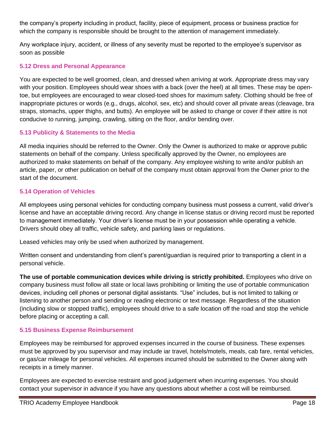the company's property including in product, facility, piece of equipment, process or business practice for which the company is responsible should be brought to the attention of management immediately.

Any workplace injury, accident, or illness of any severity must be reported to the employee's supervisor as soon as possible

#### **5.12 Dress and Personal Appearance**

You are expected to be well groomed, clean, and dressed when arriving at work. Appropriate dress may vary with your position. Employees should wear shoes with a back (over the heel) at all times. These may be opentoe, but employees are encouraged to wear closed-toed shoes for maximum safety. Clothing should be free of inappropriate pictures or words (e.g., drugs, alcohol, sex, etc) and should cover all private areas (cleavage, bra straps, stomachs, upper thighs, and butts). An employee will be asked to change or cover if their attire is not conducive to running, jumping, crawling, sitting on the floor, and/or bending over.

## **5.13 Publicity & Statements to the Media**

All media inquiries should be referred to the Owner. Only the Owner is authorized to make or approve public statements on behalf of the company. Unless specifically approved by the Owner, no employees are authorized to make statements on behalf of the company. Any employee wishing to write and/or publish an article, paper, or other publication on behalf of the company must obtain approval from the Owner prior to the start of the document.

#### **5.14 Operation of Vehicles**

All employees using personal vehicles for conducting company business must possess a current, valid driver's license and have an acceptable driving record. Any change in license status or driving record must be reported to management immediately. Your driver's license must be in your possession while operating a vehicle. Drivers should obey all traffic, vehicle safety, and parking laws or regulations.

Leased vehicles may only be used when authorized by management.

Written consent and understanding from client's parent/guardian is required prior to transporting a client in a personal vehicle.

**The use of portable communication devices while driving is strictly prohibited.** Employees who drive on company business must follow all state or local laws prohibiting or limiting the use of portable communication devices, including cell phones or personal digital assistants. "Use" includes, but is not limited to talking or listening to another person and sending or reading electronic or text message. Regardless of the situation (including slow or stopped traffic), employees should drive to a safe location off the road and stop the vehicle before placing or accepting a call.

## **5.15 Business Expense Reimbursement**

Employees may be reimbursed for approved expenses incurred in the course of business. These expenses must be approved by you supervisor and may include iar travel, hotels/motels, meals, cab fare, rental vehicles, or gas/car mileage for personal vehicles. All expenses incurred should be submitted to the Owner along with receipts in a timely manner.

Employees are expected to exercise restraint and good judgement when incurring expenses. You should contact your supervisor in advance if you have any questions about whether a cost will be reimbursed.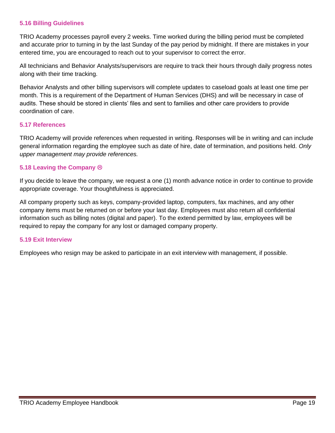#### **5.16 Billing Guidelines**

TRIO Academy processes payroll every 2 weeks. Time worked during the billing period must be completed and accurate prior to turning in by the last Sunday of the pay period by midnight. If there are mistakes in your entered time, you are encouraged to reach out to your supervisor to correct the error.

All technicians and Behavior Analysts/supervisors are require to track their hours through daily progress notes along with their time tracking.

Behavior Analysts and other billing supervisors will complete updates to caseload goals at least one time per month. This is a requirement of the Department of Human Services (DHS) and will be necessary in case of audits. These should be stored in clients' files and sent to families and other care providers to provide coordination of care.

#### **5.17 References**

TRIO Academy will provide references when requested in writing. Responses will be in writing and can include general information regarding the employee such as date of hire, date of termination, and positions held. *Only upper management may provide references.*

#### **5.18 Leaving the Company**

If you decide to leave the company, we request a one (1) month advance notice in order to continue to provide appropriate coverage. Your thoughtfulness is appreciated.

All company property such as keys, company-provided laptop, computers, fax machines, and any other company items must be returned on or before your last day. Employees must also return all confidential information such as billing notes (digital and paper). To the extend permitted by law, employees will be required to repay the company for any lost or damaged company property.

#### **5.19 Exit Interview**

Employees who resign may be asked to participate in an exit interview with management, if possible.